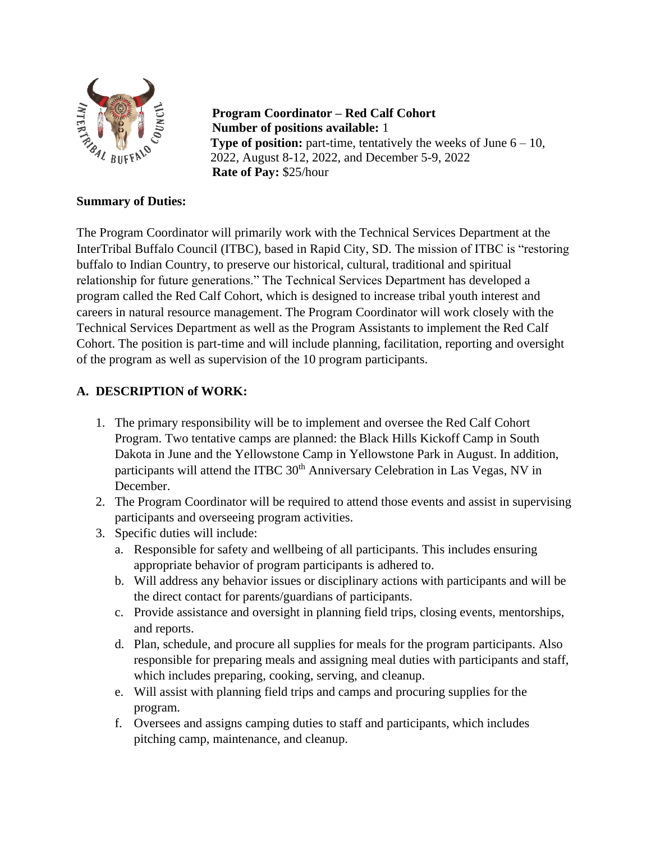

**Program Coordinator – Red Calf Cohort Number of positions available:** 1 **Type of position:** part-time, tentatively the weeks of June  $6 - 10$ , 2022, August 8-12, 2022, and December 5-9, 2022 **Rate of Pay:** \$25/hour

### **Summary of Duties:**

The Program Coordinator will primarily work with the Technical Services Department at the InterTribal Buffalo Council (ITBC), based in Rapid City, SD. The mission of ITBC is "restoring buffalo to Indian Country, to preserve our historical, cultural, traditional and spiritual relationship for future generations." The Technical Services Department has developed a program called the Red Calf Cohort, which is designed to increase tribal youth interest and careers in natural resource management. The Program Coordinator will work closely with the Technical Services Department as well as the Program Assistants to implement the Red Calf Cohort. The position is part-time and will include planning, facilitation, reporting and oversight of the program as well as supervision of the 10 program participants.

### **A. DESCRIPTION of WORK:**

- 1. The primary responsibility will be to implement and oversee the Red Calf Cohort Program. Two tentative camps are planned: the Black Hills Kickoff Camp in South Dakota in June and the Yellowstone Camp in Yellowstone Park in August. In addition, participants will attend the ITBC 30<sup>th</sup> Anniversary Celebration in Las Vegas, NV in December.
- 2. The Program Coordinator will be required to attend those events and assist in supervising participants and overseeing program activities.
- 3. Specific duties will include:
	- a. Responsible for safety and wellbeing of all participants. This includes ensuring appropriate behavior of program participants is adhered to.
	- b. Will address any behavior issues or disciplinary actions with participants and will be the direct contact for parents/guardians of participants.
	- c. Provide assistance and oversight in planning field trips, closing events, mentorships, and reports.
	- d. Plan, schedule, and procure all supplies for meals for the program participants. Also responsible for preparing meals and assigning meal duties with participants and staff, which includes preparing, cooking, serving, and cleanup.
	- e. Will assist with planning field trips and camps and procuring supplies for the program.
	- f. Oversees and assigns camping duties to staff and participants, which includes pitching camp, maintenance, and cleanup.